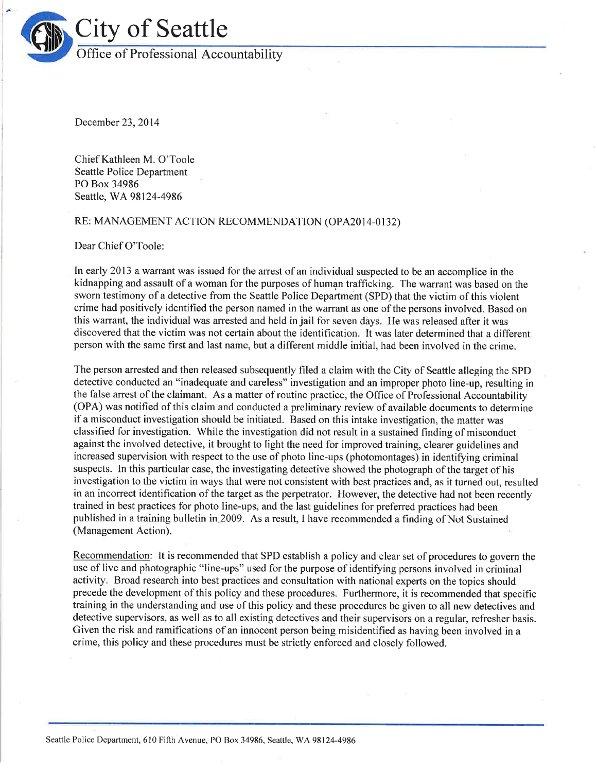

December 23,2014

Chief Kathleen M. O'Toole Seattle Police Department PO Box 34986 Seattle, WA98124-4986

## RE: MANAGEMENT ACTION RECOMMENDATION (OPA20I4-0132)

Dear Chief O'Toole:

In early 2013 a warrant was issued for the arrest of an individual suspected to be an accomplice in the kidnaþping and assault of a woman for the purposes of human trafficking. The warrant was based on the sworn testimony of a detective from the Seattle Police Department (SPD) that the victim of this violent crime had positively identified the person named in the warrant as one of the persons involved. Based on this warrant, the individual was arrested and held in jail for seven days. He was released after it was discovered that the victim was not certain about the identification. It was later determined that a different person with the same first and last name, but a different middle initial, had been involved in the crime.

The person arrested and then released subsequently filed a claim with the City of Seattle alleging the SPD detective conducted an "inadequate and careless" investigation and an improper photo line-up, resulting in the false arrest of the claimant. As a matter of routine practice, the Office of Professional Accountability (OPA) was notified of this claim and conducted a preliminary review of available documents to determine if a misconduct investigation should be initiated. Based on this intake investigation, the matter was classified for investigation. While the investigation did not result in a sustained finding of misconduct against the involved detective, it brought to light the need for improved training, clearer guidelines and increased supervision with respect to the use of photo line-ups (photomontages) in identifying criminal suspects. In this particular case, the investigating detective showed the photograph of the target of his investigation to the victim in ways that were not consistent with best practices and, as it turned out, resulted in an incorrect identification of the target as the perpetrator. However, the detective had not been recently trained in best practices for photo line-ups, and the last guidelines for preferred practices had been published in a training bulletin in2009. As a result, I have recommended a finding of Not Sustained (Management Action).

Recommendation: It is recommended that SPD establish a policy and clear set of procedures to govern the use of live and photographic "line-ups" used for the purpose of identifying persons involved in criminal activity. Broad research into best practices and consultation with national experts on the topics should precede the development of this policy and these procedures. Furthermore, it is recommended that specific training in the understanding and use of this policy and these procedures be given to all new detectives and detective supervisors, as well as to all existing detectives and their supervisors on a regular, refresher basis. Given the risk and ramifications of an innocent person being misidentified as having been involved in a crime, this policy and these procedures must be strictly enforced and closely followed.